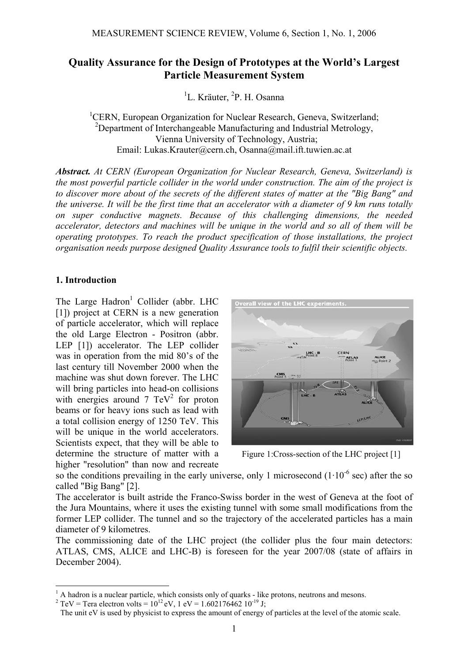# **Quality Assurance for the Design of Prototypes at the World's Largest Particle Measurement System**

<sup>1</sup>L. Kräuter, <sup>2</sup>P. H. Osanna

<sup>1</sup>CERN, European Organization for Nuclear Research, Geneva, Switzerland; <sup>2</sup>Department of Interchangeable Manufacturing and Industrial Metrology, Vienna University of Technology, Austria; Email: Lukas.Krauter@cern.ch, Osanna@mail.ift.tuwien.ac.at

*Abstract. At CERN (European Organization for Nuclear Research, Geneva, Switzerland) is the most powerful particle collider in the world under construction. The aim of the project is to discover more about of the secrets of the different states of matter at the "Big Bang" and the universe. It will be the first time that an accelerator with a diameter of 9 km runs totally on super conductive magnets. Because of this challenging dimensions, the needed accelerator, detectors and machines will be unique in the world and so all of them will be operating prototypes. To reach the product specification of those installations, the project organisation needs purpose designed Quality Assurance tools to fulfil their scientific objects.* 

## **1. Introduction**

1

The Large Hadron<sup>1</sup> Collider (abbr. LHC [1]) project at CERN is a new generation of particle accelerator, which will replace the old Large Electron - Positron (abbr. LEP [1]) accelerator. The LEP collider was in operation from the mid 80's of the last century till November 2000 when the machine was shut down forever. The LHC will bring particles into head-on collisions with energies around  $7 \text{ TeV}^2$  for proton beams or for heavy ions such as lead with a total collision energy of 1250 TeV. This will be unique in the world accelerators. Scientists expect, that they will be able to determine the structure of matter with a higher "resolution" than now and recreate



Figure 1:Cross-section of the LHC project [1]

so the conditions prevailing in the early universe, only 1 microsecond  $(1 \cdot 10^{-6} \text{ sec})$  after the so called "Big Bang" [2].

The accelerator is built astride the Franco-Swiss border in the west of Geneva at the foot of the Jura Mountains, where it uses the existing tunnel with some small modifications from the former LEP collider. The tunnel and so the trajectory of the accelerated particles has a main diameter of 9 kilometres.

The commissioning date of the LHC project (the collider plus the four main detectors: ATLAS, CMS, ALICE and LHC-B) is foreseen for the year 2007/08 (state of affairs in December 2004).

<sup>&</sup>lt;sup>1</sup> A hadron is a nuclear particle, which consists only of quarks - like protons, neutrons and mesons.

<sup>&</sup>lt;sup>2</sup> TeV = Tera electron volts =  $10^{12}$  eV, 1 eV = 1.602176462 10<sup>-19</sup> J;

The unit eV is used by physicist to express the amount of energy of particles at the level of the atomic scale.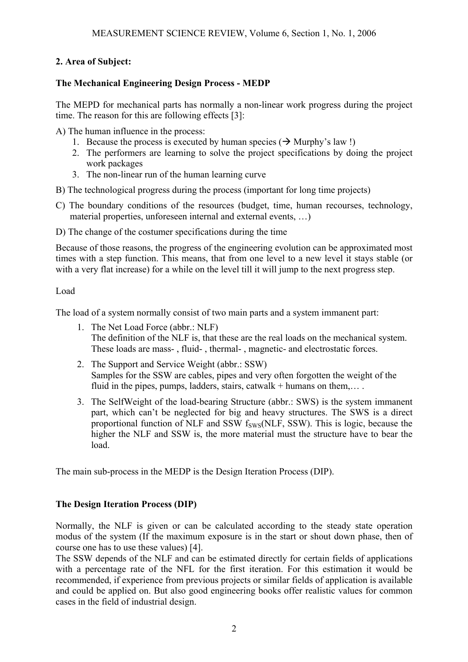# **2. Area of Subject:**

## **The Mechanical Engineering Design Process - MEDP**

The MEPD for mechanical parts has normally a non-linear work progress during the project time. The reason for this are following effects [3]:

A) The human influence in the process:

- 1. Because the process is executed by human species ( $\rightarrow$  Murphy's law !)
- 2. The performers are learning to solve the project specifications by doing the project work packages
- 3. The non-linear run of the human learning curve
- B) The technological progress during the process (important for long time projects)
- C) The boundary conditions of the resources (budget, time, human recourses, technology, material properties, unforeseen internal and external events, …)
- D) The change of the costumer specifications during the time

Because of those reasons, the progress of the engineering evolution can be approximated most times with a step function. This means, that from one level to a new level it stays stable (or with a very flat increase) for a while on the level till it will jump to the next progress step.

#### Load

The load of a system normally consist of two main parts and a system immanent part:

- 1. The Net Load Force (abbr.: NLF) The definition of the NLF is, that these are the real loads on the mechanical system. These loads are mass- , fluid- , thermal- , magnetic- and electrostatic forces.
- 2. The Support and Service Weight (abbr.: SSW) Samples for the SSW are cables, pipes and very often forgotten the weight of the fluid in the pipes, pumps, ladders, stairs, catwalk + humans on them,...
- 3. The SelfWeight of the load-bearing Structure (abbr.: SWS) is the system immanent part, which can't be neglected for big and heavy structures. The SWS is a direct proportional function of NLF and SSW  $f_{SWS}(NLF, SSW)$ . This is logic, because the higher the NLF and SSW is, the more material must the structure have to bear the load.

The main sub-process in the MEDP is the Design Iteration Process (DIP).

### **The Design Iteration Process (DIP)**

Normally, the NLF is given or can be calculated according to the steady state operation modus of the system (If the maximum exposure is in the start or shout down phase, then of course one has to use these values) [4].

The SSW depends of the NLF and can be estimated directly for certain fields of applications with a percentage rate of the NFL for the first iteration. For this estimation it would be recommended, if experience from previous projects or similar fields of application is available and could be applied on. But also good engineering books offer realistic values for common cases in the field of industrial design.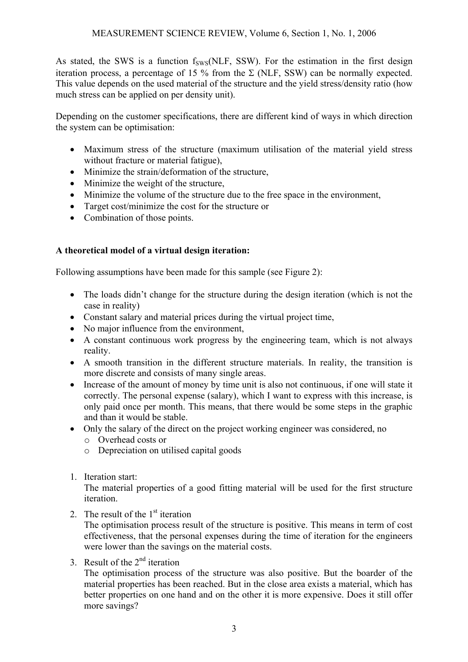As stated, the SWS is a function  $f_{SWS}(NLF, SSW)$ . For the estimation in the first design iteration process, a percentage of 15 % from the  $\Sigma$  (NLF, SSW) can be normally expected. This value depends on the used material of the structure and the yield stress/density ratio (how much stress can be applied on per density unit).

Depending on the customer specifications, there are different kind of ways in which direction the system can be optimisation:

- Maximum stress of the structure (maximum utilisation of the material yield stress without fracture or material fatigue),
- Minimize the strain/deformation of the structure,
- Minimize the weight of the structure,
- Minimize the volume of the structure due to the free space in the environment,
- Target cost/minimize the cost for the structure or
- Combination of those points.

# **A theoretical model of a virtual design iteration:**

Following assumptions have been made for this sample (see Figure 2):

- The loads didn't change for the structure during the design iteration (which is not the case in reality)
- Constant salary and material prices during the virtual project time,
- No major influence from the environment,
- A constant continuous work progress by the engineering team, which is not always reality.
- A smooth transition in the different structure materials. In reality, the transition is more discrete and consists of many single areas.
- Increase of the amount of money by time unit is also not continuous, if one will state it correctly. The personal expense (salary), which I want to express with this increase, is only paid once per month. This means, that there would be some steps in the graphic and than it would be stable.
- Only the salary of the direct on the project working engineer was considered, no
	- o Overhead costs or
	- o Depreciation on utilised capital goods
- 1. Iteration start:

The material properties of a good fitting material will be used for the first structure iteration.

2. The result of the  $1<sup>st</sup>$  iteration

The optimisation process result of the structure is positive. This means in term of cost effectiveness, that the personal expenses during the time of iteration for the engineers were lower than the savings on the material costs.

3. Result of the  $2<sup>nd</sup>$  iteration

The optimisation process of the structure was also positive. But the boarder of the material properties has been reached. But in the close area exists a material, which has better properties on one hand and on the other it is more expensive. Does it still offer more savings?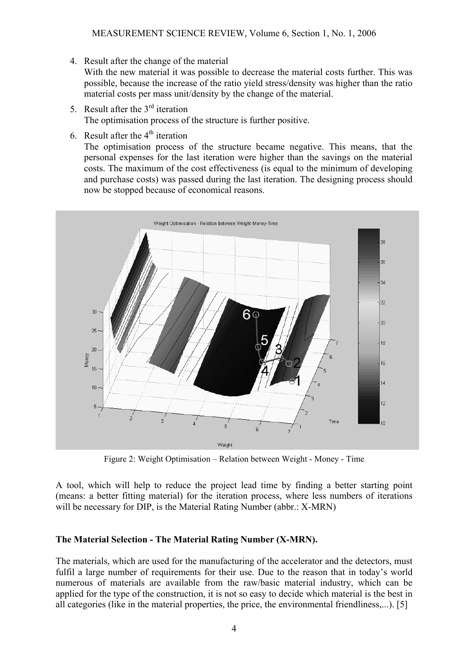4. Result after the change of the material

With the new material it was possible to decrease the material costs further. This was possible, because the increase of the ratio yield stress/density was higher than the ratio material costs per mass unit/density by the change of the material.

- 5. Result after the  $3<sup>rd</sup>$  iteration The optimisation process of the structure is further positive.
- 6. Result after the  $4<sup>th</sup>$  iteration

The optimisation process of the structure became negative. This means, that the personal expenses for the last iteration were higher than the savings on the material costs. The maximum of the cost effectiveness (is equal to the minimum of developing and purchase costs) was passed during the last iteration. The designing process should now be stopped because of economical reasons.



Figure 2: Weight Optimisation – Relation between Weight - Money - Time

A tool, which will help to reduce the project lead time by finding a better starting point (means: a better fitting material) for the iteration process, where less numbers of iterations will be necessary for DIP, is the Material Rating Number (abbr.: X-MRN)

### **The Material Selection - The Material Rating Number (X-MRN).**

The materials, which are used for the manufacturing of the accelerator and the detectors, must fulfil a large number of requirements for their use. Due to the reason that in today's world numerous of materials are available from the raw/basic material industry, which can be applied for the type of the construction, it is not so easy to decide which material is the best in all categories (like in the material properties, the price, the environmental friendliness,...). [5]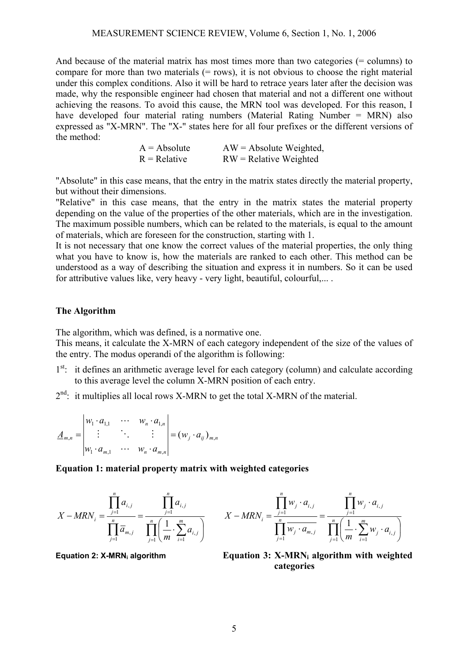#### MEASUREMENT SCIENCE REVIEW, Volume 6, Section 1, No. 1, 2006

And because of the material matrix has most times more than two categories (= columns) to compare for more than two materials  $(= rows)$ , it is not obvious to choose the right material under this complex conditions. Also it will be hard to retrace years later after the decision was made, why the responsible engineer had chosen that material and not a different one without achieving the reasons. To avoid this cause, the MRN tool was developed. For this reason, I have developed four material rating numbers (Material Rating Number = MRN) also expressed as "X-MRN". The "X-" states here for all four prefixes or the different versions of the method:

> $A = Absolute$   $AW = Absolute$  Weighted,  $R =$  Relative  $RW =$  Relative Weighted

"Absolute" in this case means, that the entry in the matrix states directly the material property, but without their dimensions.

"Relative" in this case means, that the entry in the matrix states the material property depending on the value of the properties of the other materials, which are in the investigation. The maximum possible numbers, which can be related to the materials, is equal to the amount of materials, which are foreseen for the construction, starting with 1.

It is not necessary that one know the correct values of the material properties, the only thing what you have to know is, how the materials are ranked to each other. This method can be understood as a way of describing the situation and express it in numbers. So it can be used for attributive values like, very heavy - very light, beautiful, colourful,... .

#### **The Algorithm**

The algorithm, which was defined, is a normative one.

This means, it calculate the X-MRN of each category independent of the size of the values of the entry. The modus operandi of the algorithm is following:

- 1<sup>st</sup>: it defines an arithmetic average level for each category (column) and calculate according to this average level the column X-MRN position of each entry.
- $2<sup>nd</sup>$ : it multiplies all local rows X-MRN to get the total X-MRN of the material.

$$
\underline{A}_{m,n} = \begin{vmatrix} w_1 \cdot a_{1,1} & \cdots & w_n \cdot a_{1,n} \\ \vdots & \ddots & \vdots \\ w_1 \cdot a_{m,1} & \cdots & w_n \cdot a_{m,n} \end{vmatrix} = (w_j \cdot a_{ij})_{m,n}
$$

**Equation 1: material property matrix with weighted categories** 

$$
X - MRN_i = \frac{\prod_{j=1}^{n} a_{i,j}}{\prod_{j=1}^{n} \overline{a}_{m,j}} = \frac{\prod_{j=1}^{n} a_{i,j}}{\prod_{j=1}^{n} \left(\frac{1}{m} \cdot \sum_{i=1}^{m} a_{i,j}\right)}
$$

$$
X - MRN_i = \frac{\prod_{j=1}^{n} w_j \cdot a_{i,j}}{\prod_{j=1}^{n} w_j \cdot a_{m,j}} = \frac{\prod_{j=1}^{n} w_j \cdot a_{i,j}}{\prod_{j=1}^{n} \left(\frac{1}{m} \cdot \sum_{i=1}^{m} w_j \cdot a_{i,j}\right)}
$$

**Equation 2: X-MRNi algorithm Equation 3: X-MRNi algorithm with weighted categories**